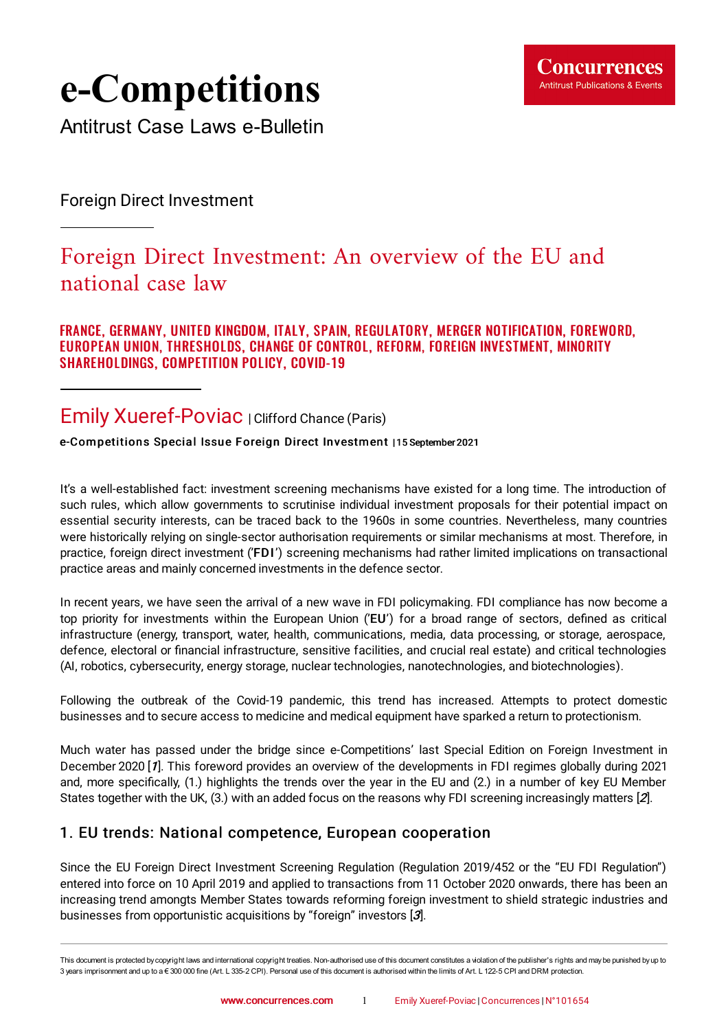

# **e-Competitions**

Antitrust Case Laws e-Bulletin

Foreign Direct Investment

## Foreign Direct Investment: An overview of the EU and national case law

FRANCE, GERMANY, UNITED KINGDOM, ITALY, SPAIN, REGULATORY, MERGER NOTIFICATION, FOREWORD, EUROPEAN UNION, THRESHOLDS, CHANGE OF CONTROL, REFORM, FOREIGN INVESTMENT, MINORITY SHAREHOLDINGS, COMPETITION POLICY, COVID-19

### Emily Xueref-Poviac | Clifford Chance (Paris)

e-Competitions Special Issue Foreign Direct Investment | 15 September 2021

It's a well-established fact: investment screening mechanisms have existed for a long time. The introduction of such rules, which allow governments to scrutinise individual investment proposals for their potential impact on essential security interests, can be traced back to the 1960s in some countries. Nevertheless, many countries were historically relying on single-sector authorisation requirements or similar mechanisms at most. Therefore, in practice, foreign direct investment ('FDI') screening mechanisms had rather limited implications on transactional practice areas and mainly concerned investments in the defence sector.

In recent years, we have seen the arrival of a new wave in FDI policymaking. FDI compliance has now become a top priority for investments within the European Union ('EU') for a broad range of sectors, defined as critical infrastructure (energy, transport, water, health, communications, media, data processing, or storage, aerospace, defence, electoral or financial infrastructure, sensitive facilities, and crucial real estate) and critical technologies (AI, robotics, cybersecurity, energy storage, nuclear technologies, nanotechnologies, and biotechnologies).

Following the outbreak of the Covid-19 pandemic, this trend has increased. Attempts to protect domestic businesses and to secure access to medicine and medical equipment have sparked a return to protectionism.

<span id="page-0-0"></span>Much water has passed under the bridge since e-Competitions' last Special Edition on Foreign Investment in December 2020 [[1](#page-4-0)]. This foreword provides an overview of the developments in FDI regimes globally during 2021 and, more specifically, (1.) highlights the trends over the year in the EU and (2.) in a number of key EU Member States together with the UK, (3.) with an added focus on the reasons why FDI screening increasingly matters [[2](#page-4-1)].

#### <span id="page-0-1"></span>1. EU trends: National competence, European cooperation

<span id="page-0-2"></span>Since the EU Foreign Direct Investment Screening Regulation (Regulation 2019/452 or the "EU FDI Regulation") entered into force on 10 April 2019 and applied to transactions from 11 October 2020 onwards, there has been an increasing trend amongts Member States towards reforming foreign investment to shield strategic industries and businesses from opportunistic acquisitions by "foreign" investors [[3](#page-5-0)].

This document is protected by copyright laws and international copyright treaties. Non-authorised use of this document constitutes a violation of the publisher's rights and maybe punished byup to 3 years imprisonment and up to a € 300 000 fine (Art. L 335-2 CPI). Personal use of this document is authorised within the limits of Art. L 122-5 CPI and DRM protection.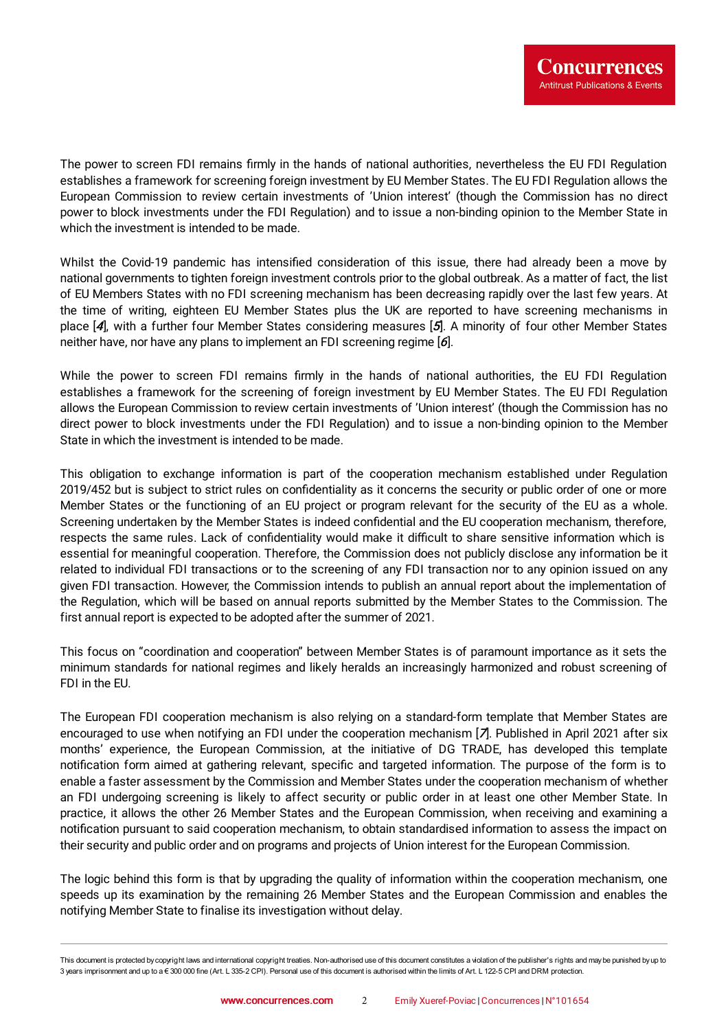The power to screen FDI remains firmly in the hands of national authorities, nevertheless the EU FDI Regulation establishes a framework for screening foreign investment by EU Member States. The EU FDI Regulation allows the European Commission to review certain investments of 'Union interest' (though the Commission has no direct power to block investments under the FDI Regulation) and to issue a non-binding opinion to the Member State in which the investment is intended to be made.

Whilst the Covid-19 pandemic has intensified consideration of this issue, there had already been a move by national governments to tighten foreign investment controls prior to the global outbreak. As a matter of fact, the list of EU Members States with no FDI screening mechanism has been decreasing rapidly over the last few years. At the time of writing, eighteen EU Member States plus the UK are reported to have screening mechanisms in place [[4](#page-5-1)], with a further four Member States considering measures [[5](#page-5-2)]. A minority of four other Member States neither have, nor have any plans to implement an FDI screening regime [[6](#page-5-3)].

<span id="page-1-2"></span><span id="page-1-1"></span><span id="page-1-0"></span>While the power to screen FDI remains firmly in the hands of national authorities, the EU FDI Regulation establishes a framework for the screening of foreign investment by EU Member States. The EU FDI Regulation allows the European Commission to review certain investments of 'Union interest' (though the Commission has no direct power to block investments under the FDI Regulation) and to issue a non-binding opinion to the Member State in which the investment is intended to be made.

This obligation to exchange information is part of the cooperation mechanism established under Regulation 2019/452 but is subject to strict rules on confidentiality as it concerns the security or public order of one or more Member States or the functioning of an EU project or program relevant for the security of the EU as a whole. Screening undertaken by the Member States is indeed confidential and the EU cooperation mechanism, therefore, respects the same rules. Lack of confidentiality would make it difficult to share sensitive information which is essential for meaningful cooperation. Therefore, the Commission does not publicly disclose any information be it related to individual FDI transactions or to the screening of any FDI transaction nor to any opinion issued on any given FDI transaction. However, the Commission intends to publish an annual report about the implementation of the Regulation, which will be based on annual reports submitted by the Member States to the Commission. The first annual report is expected to be adopted after the summer of 2021.

This focus on "coordination and cooperation" between Member States is of paramount importance as it sets the minimum standards for national regimes and likely heralds an increasingly harmonized and robust screening of FDI in the EU.

<span id="page-1-3"></span>The European FDI cooperation mechanism is also relying on a standard-form template that Member States are encouraged to use when notifying an FDI under the cooperation mechanism [[7](#page-5-4)]. Published in April 2021 after six months' experience, the European Commission, at the initiative of DG TRADE, has developed this template notification form aimed at gathering relevant, specific and targeted information. The purpose of the form is to enable a faster assessment by the Commission and Member States under the cooperation mechanism of whether an FDI undergoing screening is likely to affect security or public order in at least one other Member State. In practice, it allows the other 26 Member States and the European Commission, when receiving and examining a notification pursuant to said cooperation mechanism, to obtain standardised information to assess the impact on their security and public order and on programs and projects of Union interest for the European Commission.

The logic behind this form is that by upgrading the quality of information within the cooperation mechanism, one speeds up its examination by the remaining 26 Member States and the European Commission and enables the notifying Member State to finalise its investigation without delay.

This document is protected by copyright laws and international copyright treaties. Non-authorised use of this document constitutes a violation of the publisher's rights and maybe punished byup to 3 years imprisonment and up to a € 300 000 fine (Art. L 335-2 CPI). Personal use of this document is authorised within the limits of Art. L 122-5 CPI and DRM protection.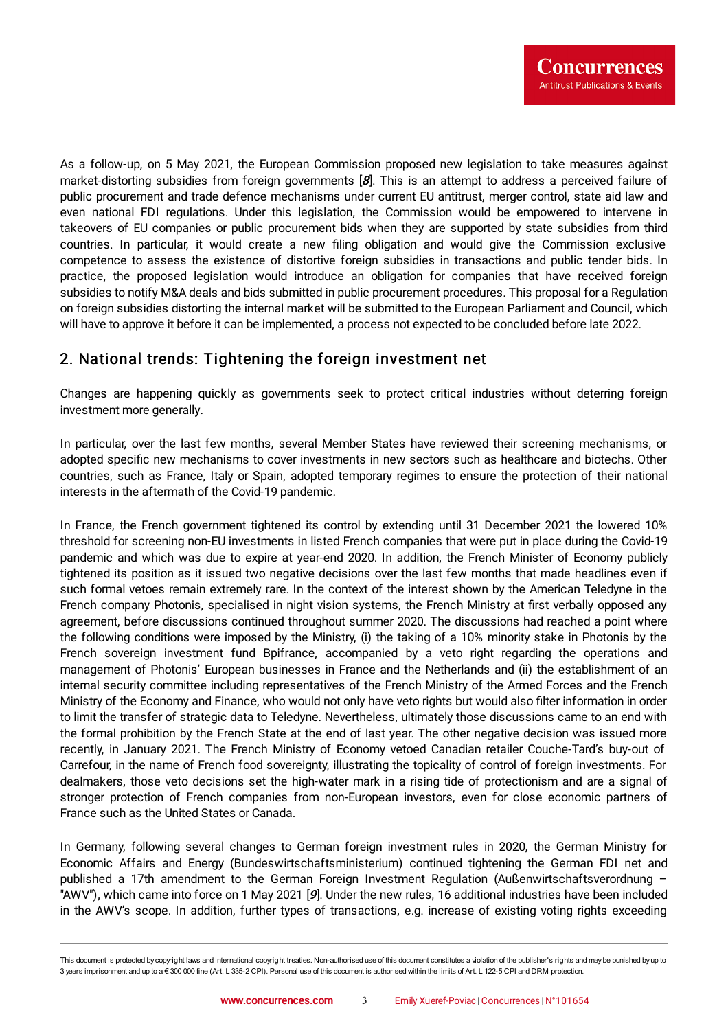<span id="page-2-0"></span>As a follow-up, on 5 May 2021, the European Commission proposed new legislation to take measures against market-distorting subsidies from foreign governments [[8](#page-5-5)]. This is an attempt to address a perceived failure of public procurement and trade defence mechanisms under current EU antitrust, merger control, state aid law and even national FDI regulations. Under this legislation, the Commission would be empowered to intervene in takeovers of EU companies or public procurement bids when they are supported by state subsidies from third countries. In particular, it would create a new filing obligation and would give the Commission exclusive competence to assess the existence of distortive foreign subsidies in transactions and public tender bids. In practice, the proposed legislation would introduce an obligation for companies that have received foreign subsidies to notify M&A deals and bids submitted in public procurement procedures. This proposal for a Regulation on foreign subsidies distorting the internal market will be submitted to the European Parliament and Council, which will have to approve it before it can be implemented, a process not expected to be concluded before late 2022.

#### 2. National trends: Tightening the foreign investment net

Changes are happening quickly as governments seek to protect critical industries without deterring foreign investment more generally.

In particular, over the last few months, several Member States have reviewed their screening mechanisms, or adopted specific new mechanisms to cover investments in new sectors such as healthcare and biotechs. Other countries, such as France, Italy or Spain, adopted temporary regimes to ensure the protection of their national interests in the aftermath of the Covid-19 pandemic.

In France, the French government tightened its control by extending until 31 December 2021 the lowered 10% threshold for screening non-EU investments in listed French companies that were put in place during the Covid-19 pandemic and which was due to expire at year-end 2020. In addition, the French Minister of Economy publicly tightened its position as it issued two negative decisions over the last few months that made headlines even if such formal vetoes remain extremely rare. In the context of the interest shown by the American Teledyne in the French company Photonis, specialised in night vision systems, the French Ministry at first verbally opposed any agreement, before discussions continued throughout summer 2020. The discussions had reached a point where the following conditions were imposed by the Ministry, (i) the taking of a 10% minority stake in Photonis by the French sovereign investment fund Bpifrance, accompanied by a veto right regarding the operations and management of Photonis' European businesses in France and the Netherlands and (ii) the establishment of an internal security committee including representatives of the French Ministry of the Armed Forces and the French Ministry of the Economy and Finance, who would not only have veto rights but would also filter information in order to limit the transfer of strategic data to Teledyne. Nevertheless, ultimately those discussions came to an end with the formal prohibition by the French State at the end of last year. The other negative decision was issued more recently, in January 2021. The French Ministry of Economy vetoed Canadian retailer Couche-Tard's buy-out of Carrefour, in the name of French food sovereignty, illustrating the topicality of control of foreign investments. For dealmakers, those veto decisions set the high-water mark in a rising tide of protectionism and are a signal of stronger protection of French companies from non-European investors, even for close economic partners of France such as the United States or Canada.

<span id="page-2-1"></span>In Germany, following several changes to German foreign investment rules in 2020, the German Ministry for Economic Affairs and Energy (Bundeswirtschaftsministerium) continued tightening the German FDI net and published a 17th amendment to the German Foreign Investment Regulation (Außenwirtschaftsverordnung – "AWV"), which came into force on 1 May 2021 [[9](#page-5-6)]. Under the new rules, 16 additional industries have been included in the AWV's scope. In addition, further types of transactions, e.g. increase of existing voting rights exceeding

This document is protected by copyright laws and international copyright treaties. Non-authorised use of this document constitutes a violation of the publisher's rights and maybe punished byup to 3 years imprisonment and up to a € 300 000 fine (Art. L 335-2 CPI). Personal use of this document is authorised within the limits of Art. L 122-5 CPI and DRM protection.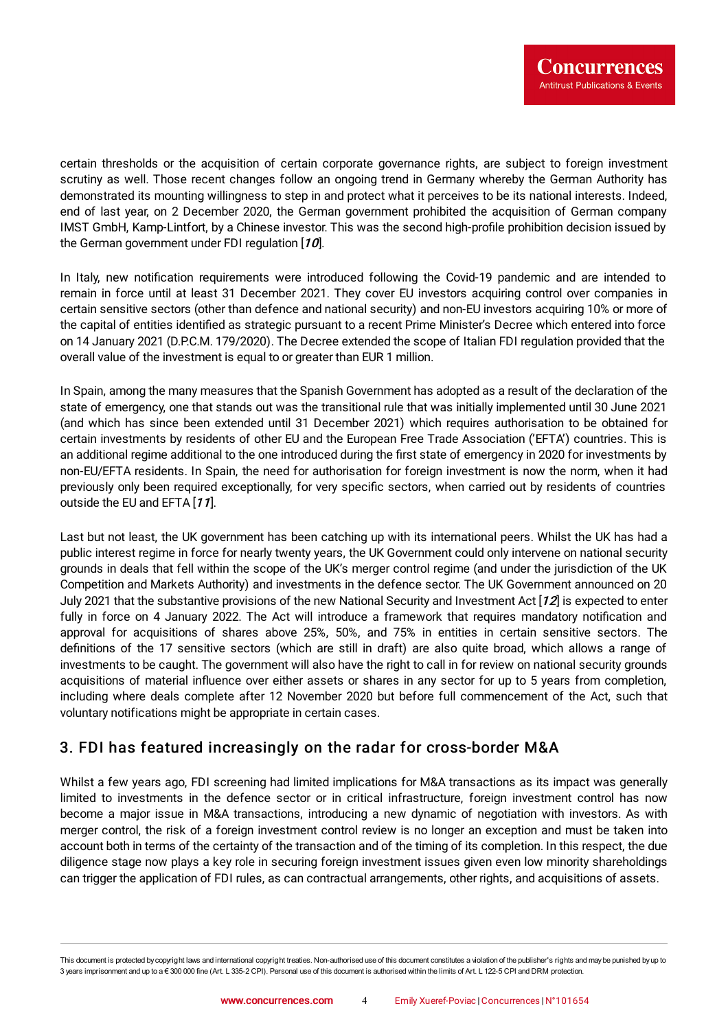certain thresholds or the acquisition of certain corporate governance rights, are subject to foreign investment scrutiny as well. Those recent changes follow an ongoing trend in Germany whereby the German Authority has demonstrated its mounting willingness to step in and protect what it perceives to be its national interests. Indeed, end of last year, on 2 December 2020, the German government prohibited the acquisition of German company IMST GmbH, Kamp-Lintfort, by a Chinese investor. This was the second high-profile prohibition decision issued by the German government under FDI regulation [[10](#page-5-7)].

<span id="page-3-0"></span>In Italy, new notification requirements were introduced following the Covid-19 pandemic and are intended to remain in force until at least 31 December 2021. They cover EU investors acquiring control over companies in certain sensitive sectors (other than defence and national security) and non-EU investors acquiring 10% or more of the capital of entities identified as strategic pursuant to a recent Prime Minister's Decree which entered into force on 14 January 2021 (D.P.C.M. 179/2020). The Decree extended the scope of Italian FDI regulation provided that the overall value of the investment is equal to or greater than EUR 1 million.

In Spain, among the many measures that the Spanish Government has adopted as a result of the declaration of the state of emergency, one that stands out was the transitional rule that was initially implemented until 30 June 2021 (and which has since been extended until 31 December 2021) which requires authorisation to be obtained for certain investments by residents of other EU and the European Free Trade Association ('EFTA') countries. This is an additional regime additional to the one introduced during the first state of emergency in 2020 for investments by non-EU/EFTA residents. In Spain, the need for authorisation for foreign investment is now the norm, when it had previously only been required exceptionally, for very specific sectors, when carried out by residents of countries outside the EU and EFTA [[11](#page-6-0)].

<span id="page-3-2"></span><span id="page-3-1"></span>Last but not least, the UK government has been catching up with its international peers. Whilst the UK has had a public interest regime in force for nearly twenty years, the UK Government could only intervene on national security grounds in deals that fell within the scope of the UK's merger control regime (and under the jurisdiction of the UK Competition and Markets Authority) and investments in the defence sector. The UK Government announced on 20 July 2021 that the substantive provisions of the new National Security and Investment Act  $[12]$  $[12]$  $[12]$  is expected to enter fully in force on 4 January 2022. The Act will introduce a framework that requires mandatory notification and approval for acquisitions of shares above 25%, 50%, and 75% in entities in certain sensitive sectors. The definitions of the 17 sensitive sectors (which are still in draft) are also quite broad, which allows a range of investments to be caught. The government will also have the right to call in for review on national security grounds acquisitions of material influence over either assets or shares in any sector for up to 5 years from completion, including where deals complete after 12 November 2020 but before full commencement of the Act, such that voluntary notifications might be appropriate in certain cases.

#### 3. FDI has featured increasingly on the radar for cross-border M&A

Whilst a few years ago, FDI screening had limited implications for M&A transactions as its impact was generally limited to investments in the defence sector or in critical infrastructure, foreign investment control has now become a major issue in M&A transactions, introducing a new dynamic of negotiation with investors. As with merger control, the risk of a foreign investment control review is no longer an exception and must be taken into account both in terms of the certainty of the transaction and of the timing of its completion. In this respect, the due diligence stage now plays a key role in securing foreign investment issues given even low minority shareholdings can trigger the application of FDI rules, as can contractual arrangements, other rights, and acquisitions of assets.

This document is protected by copyright laws and international copyright treaties. Non-authorised use of this document constitutes a violation of the publisher's rights and maybe punished byup to 3 years imprisonment and up to a € 300 000 fine (Art. L 335-2 CPI). Personal use of this document is authorised within the limits of Art. L 122-5 CPI and DRM protection.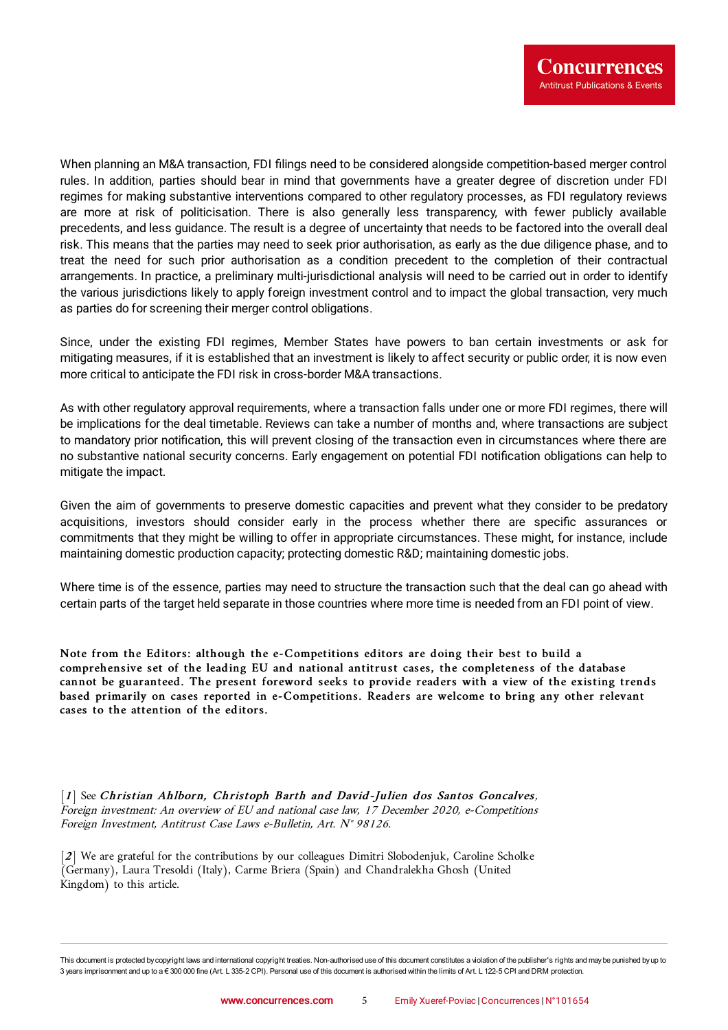When planning an M&A transaction, FDI filings need to be considered alongside competition-based merger control rules. In addition, parties should bear in mind that governments have a greater degree of discretion under FDI regimes for making substantive interventions compared to other regulatory processes, as FDI regulatory reviews are more at risk of politicisation. There is also generally less transparency, with fewer publicly available precedents, and less guidance. The result is a degree of uncertainty that needs to be factored into the overall deal risk. This means that the parties may need to seek prior authorisation, as early as the due diligence phase, and to treat the need for such prior authorisation as a condition precedent to the completion of their contractual arrangements. In practice, a preliminary multi-jurisdictional analysis will need to be carried out in order to identify the various jurisdictions likely to apply foreign investment control and to impact the global transaction, very much as parties do for screening their merger control obligations.

Since, under the existing FDI regimes, Member States have powers to ban certain investments or ask for mitigating measures, if it is established that an investment is likely to affect security or public order, it is now even more critical to anticipate the FDI risk in cross-border M&A transactions.

As with other regulatory approval requirements, where a transaction falls under one or more FDI regimes, there will be implications for the deal timetable. Reviews can take a number of months and, where transactions are subject to mandatory prior notification, this will prevent closing of the transaction even in circumstances where there are no substantive national security concerns. Early engagement on potential FDI notification obligations can help to mitigate the impact.

Given the aim of governments to preserve domestic capacities and prevent what they consider to be predatory acquisitions, investors should consider early in the process whether there are specific assurances or commitments that they might be willing to offer in appropriate circumstances. These might, for instance, include maintaining domestic production capacity; protecting domestic R&D; maintaining domestic jobs.

Where time is of the essence, parties may need to structure the transaction such that the deal can go ahead with certain parts of the target held separate in those countries where more time is needed from an FDI point of view.

Note from the Editors: although the e-Competitions editors are doing their best to build a comprehensive set of the leading EU and national antitrust cases, the completeness of the database cannot be guaranteed. The present foreword seeks to provide readers with a view of the existing trends based primarily on cases reported in e-Competitions. Readers are welcome to bring any other relevant cases to the attention of the editors.

<span id="page-4-0"></span>[[1](#page-0-0)] See Christian Ahlborn, Christoph Barth and [David-Julien](https://www.concurrences.com/en/bulletin/special-issues/foreign-direct-investment-en/foreign-investment-an-overview-of-eu-and-national-case-law-98126) dos Santos Goncalves, Foreign investment: An overview of EU and national case law, 17 December 2020, e-Competitions Foreign Investment, Antitrust Case Laws e-Bulletin, Art. N° <sup>98126</sup>.

<span id="page-4-1"></span>[[2](#page-0-1)] We are grateful for the contributions by our colleagues Dimitri Slobodenjuk, Caroline Scholke (Germany), Laura Tresoldi (Italy), Carme Briera (Spain) and Chandralekha Ghosh (United  $Kingdom)$  to this article.

This document is protected by copyright laws and international copyright treaties. Non-authorised use of this document constitutes a violation of the publisher's rights and maybe punished byup to 3 years imprisonment and up to a € 300 000 fine (Art. L 335-2 CPI). Personal use of this document is authorised within the limits of Art. L 122-5 CPI and DRM protection.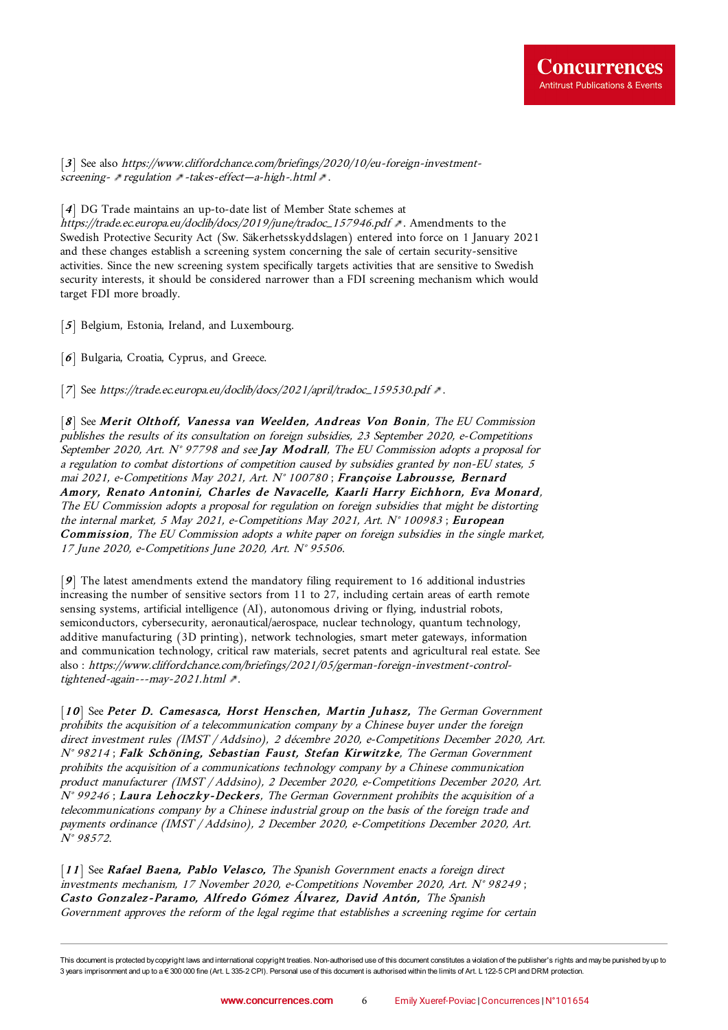<span id="page-5-0"></span>[[3](#page-0-2)] See also [https://www.cliffordchance.com/briefings/2020/10/eu-foreign-investment](https://www.cliffordchance.com/briefings/2020/10/eu-foreign-investment-screening-regulation-takes-effect--a-high-.html)screening- [regulation](https://www.cliffordchance.com/briefings/2020/10/eu-foreign-investment-screening-regulation-takes-effect--a-high-.html) -takes-effect-a-high-.html .

<span id="page-5-1"></span>[[4](#page-1-0)] DG Trade maintains an up-to-date list of Member State schemes at

[https://trade.ec.europa.eu/doclib/docs/2019/june/tradoc\\_157946.pdf](https://trade.ec.europa.eu/doclib/docs/2019/june/tradoc_157946.pdf) . Amendments to the Swedish Protective Security Act (Sw. Säkerhetsskyddslagen) entered into force on 1 January 2021 and these changes establish a screening system concerning the sale of certain security-sensitive activities. Since the new screening system specifically targets activities that are sensitive to Swedish security interests, it should be considered narrower than a FDI screening mechanism which would target FDI more broadly.

<span id="page-5-2"></span>[[5](#page-1-1)] Belgium, Estonia, Ireland, and Luxembourg.

<span id="page-5-3"></span>[[6](#page-1-2)] Bulgaria, Croatia, Cyprus, and Greece.

<span id="page-5-4"></span>[[7](#page-1-3)] See [https://trade.ec.europa.eu/doclib/docs/2021/april/tradoc\\_159530.pdf](https://trade.ec.europa.eu/doclib/docs/2021/april/tradoc_159530.pdf) ...

<span id="page-5-5"></span>[[8](#page-2-0)] See Merit Olthoff, Vanessa van Weelden, Andreas Von Bonin, The EU Commission publishes the results of its consultation on foreign subsidies, 23 September 2020, [e-Competitions](https://www.concurrences.com/en/bulletin/news-issues/may-2021/the-eu-commission-adopts-a-proposal-for-a-regulation-to-combat-distortions-of) September 2020, Art.  $N^{\circ}$  97798 and see Jay Modrall, The EU Commission adopts a proposal for <sup>a</sup> regulation to combat distortions of competition caused by subsidies granted by non-EU states, 5 mai 2021, e-Competitions May 2021, Art. N° <sup>100780</sup> ; Françoise Labrousse, Bernard Amory, Renato Antonini, Charles de Navacelle, Kaarli Harry Eichhorn, Eva Monard, The EU Commission adopts <sup>a</sup> proposal for regulation on foreign subsidies that might be distorting the internal market, 5 May 2021, [e-Competitions](https://www.concurrences.com/en/bulletin/news-issues/may-2021/the-eu-commission-adopts-a-proposal-for-regulation-on-foreign-subsidies-that) May 2021, Art. N° 100983; European Commission, The EU Commission adopts a white paper on foreign subsidies in the single market, <sup>17</sup> June 2020, e-Competitions June 2020, Art. N° <sup>95506</sup>.

<span id="page-5-6"></span>[[9](#page-2-1)] The latest amendments extend the mandatory filing requirement to 16 additional industries increasing the number of sensitive sectors from 11 to 27, including certain areas of earth remote sensing systems, artificial intelligence (AI), autonomous driving or flying, industrial robots, semiconductors, cybersecurity, aeronautical/aerospace, nuclear technology, quantum technology, additive manufacturing (3D printing), network technologies, smart meter gateways, information and communication technology, critical raw materials, secret patents and agricultural real estate. See also : [https://www.cliffordchance.com/briefings/2021/05/german-foreign-investment-control](https://www.cliffordchance.com/briefings/2021/05/german-foreign-investment-control-tightened-again---may-2021.html)tightened-again---may-2021.html .

<span id="page-5-7"></span>[[10](#page-3-0)] See Peter D. Camesasca, Horst Henschen, Martin Juhasz, The German Government prohibits the acquisition of <sup>a</sup> telecommunication company by <sup>a</sup> Chinese buyer under the foreign direct investment rules (IMST / Addsino), <sup>2</sup> décembre 2020, [e-Competitions](https://www.concurrences.com/en/bulletin/news-issues/december-2020/the-german-government-prohibits-the-acquisition-of-a-telecommunication-company) December 2020, Art. N° <sup>98214</sup> ; Falk Schöning, Sebastian Faust, Stefan Kirwitzke, The German Government prohibits the acquisition of <sup>a</sup> communications technology company by <sup>a</sup> Chinese communication product manufacturer (IMST / Addsino), <sup>2</sup> December 2020, e-Competitions December 2020, Art.  $N^{\circ}$  99246; Laura [Lehoczky-Deckers,](https://www.concurrences.com/en/bulletin/news-issues/december-2020/the-german-government-prohibits-the-acquisition-of-a-communications-technology) The German Government prohibits the acquisition of a telecommunications company by <sup>a</sup> Chinese industrial group on the basis of the foreign trade and payments ordinance (IMST / Addsino), <sup>2</sup> December 2020, e-Competitions December 2020, Art. N° <sup>98572</sup>.

[[11](#page-3-1)] See Rafael Baena, Pablo Velasco, The Spanish Government enacts a foreign direct investments mechanism, <sup>17</sup> November 2020, [e-Competitions](https://www.concurrences.com/en/bulletin/news-issues/november-2020/the-spanish-government-enacts-a-foreign-direct-investments-mechanism) November 2020, Art. N° <sup>98249</sup> ; Casto [Gonzalez-Paramo,](https://www.concurrences.com/en/bulletin/news-issues/november-2020/the-spanish-government-approves-the-reform-of-the-legal-regime-that-establishes) Alfredo Gómez Álvarez, David Antón, The Spanish Government approves the reform of the legal regime that establishes <sup>a</sup> screening regime for certain

This document is protected by copyright laws and international copyright treaties. Non-authorised use of this document constitutes a violation of the publisher's rights and maybe punished byup to 3 years imprisonment and up to a € 300 000 fine (Art. L 335-2 CPI). Personal use of this document is authorised within the limits of Art. L 122-5 CPI and DRM protection.